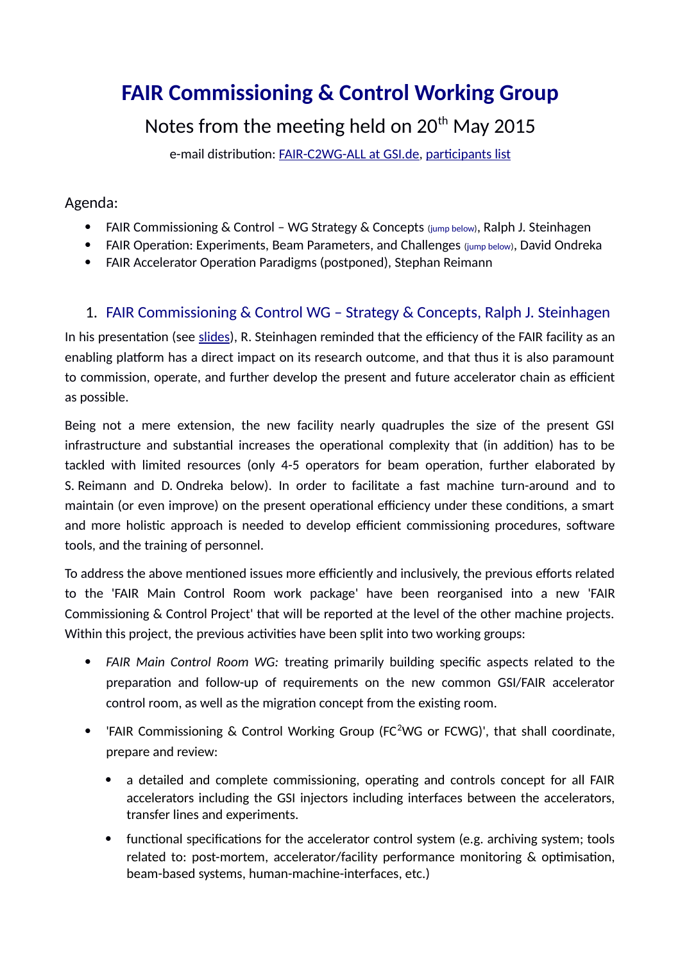# **FAIR Commissioning & Control Working Group**

# Notes from the meeting held on  $20^{th}$  May 2015

e-mail distribution: [FAIR-C2WG-ALL at GSI.de,](mailto:FAIR-C2WG-ALL%20(at)%20GSI%20(punkt)%20de) [participants list](https://fair-wiki.gsi.de/foswiki/pub/FC2WG/FairC2WGMinutes/20150520_FCWG_AttendanceList.pdf)

### Agenda:

- FAIR Commissioning & Control WG Strategy & Concepts (jump [below\)](#page-0-0), Ralph J. Steinhagen
- FAIR Operation: Experiments, Beam Parameters, and Challenges (jump [below\)](#page-4-0), David Ondreka
- FAIR Accelerator Operation Paradigms (postponed), Stephan Reimann

# <span id="page-0-0"></span>1. FAIR Commissioning & Control WG – Strategy & Concepts, Ralph J. Steinhagen

In his presentation (see [slides\)](https://fair-wiki.gsi.de/foswiki/pub/FC2WG/FairC2WGMinutes/20150520_FAIR_C2WG_Introduction.pdf), R. Steinhagen reminded that the efficiency of the FAIR facility as an enabling platform has a direct impact on its research outcome, and that thus it is also paramount to commission, operate, and further develop the present and future accelerator chain as efficient as possible.

Being not a mere extension, the new facility nearly quadruples the size of the present GSI infrastructure and substantial increases the operational complexity that (in addition) has to be tackled with limited resources (only 4-5 operators for beam operation, further elaborated by S. Reimann and D. Ondreka [below\)](#page-4-0). In order to facilitate a fast machine turn-around and to maintain (or even improve) on the present operational efficiency under these conditions, a smart and more holistic approach is needed to develop efficient commissioning procedures, software tools, and the training of personnel.

To address the above mentioned issues more efficiently and inclusively, the previous efforts related to the 'FAIR Main Control Room work package' have been reorganised into a new 'FAIR Commissioning & Control Project' that will be reported at the level of the other machine projects. Within this project, the previous activities have been split into two working groups:

- *FAIR Main Control Room WG:* treating primarily building specific aspects related to the preparation and follow-up of requirements on the new common GSI/FAIR accelerator control room, as well as the migration concept from the existing room.
- 'FAIR Commissioning & Control Working Group (FC<sup>2</sup>WG or FCWG)', that shall coordinate, prepare and review:
	- a detailed and complete commissioning, operating and controls concept for all FAIR accelerators including the GSI injectors including interfaces between the accelerators, transfer lines and experiments.
	- functional specifications for the accelerator control system (e.g. archiving system; tools related to: post-mortem, accelerator/facility performance monitoring & optimisation, beam-based systems, human-machine-interfaces, etc.)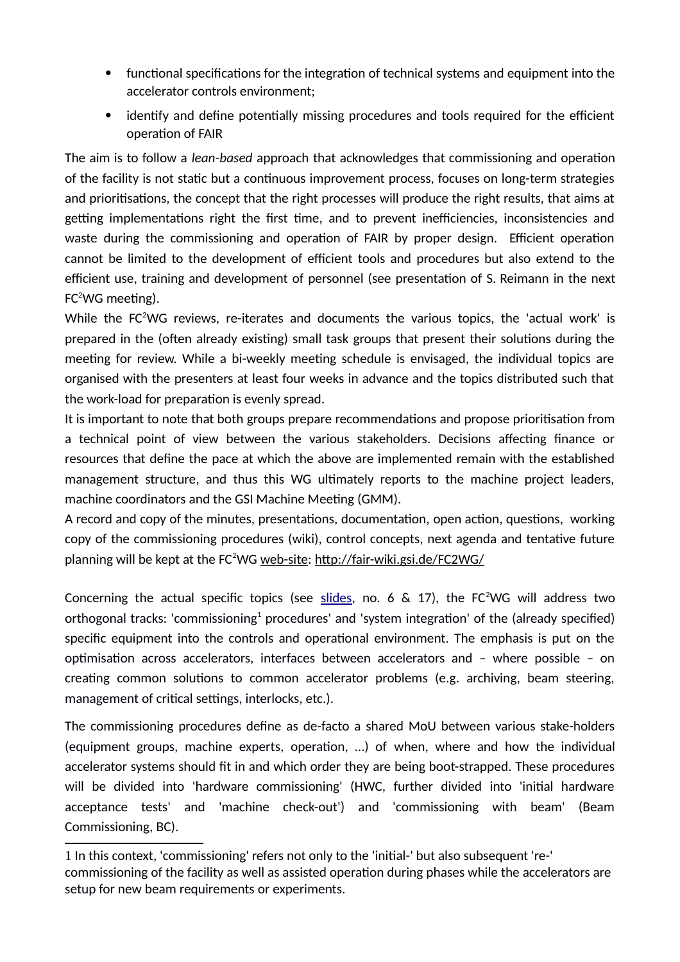- functional specifications for the integration of technical systems and equipment into the accelerator controls environment;
- identify and define potentially missing procedures and tools required for the efficient operation of FAIR

The aim is to follow a *lean-based* approach that acknowledges that commissioning and operation of the facility is not static but a continuous improvement process, focuses on long-term strategies and prioritisations, the concept that the right processes will produce the right results, that aims at getting implementations right the first time, and to prevent inefficiencies, inconsistencies and waste during the commissioning and operation of FAIR by proper design. Efficient operation cannot be limited to the development of efficient tools and procedures but also extend to the efficient use, training and development of personnel (see presentation of S. Reimann in the next  $FC<sup>2</sup>WG meetine)$ .

While the FC<sup>2</sup>WG reviews, re-iterates and documents the various topics, the 'actual work' is prepared in the (often already existing) small task groups that present their solutions during the meeting for review. While a bi-weekly meeting schedule is envisaged, the individual topics are organised with the presenters at least four weeks in advance and the topics distributed such that the work-load for preparation is evenly spread.

It is important to note that both groups prepare recommendations and propose prioritisation from a technical point of view between the various stakeholders. Decisions affecting finance or resources that define the pace at which the above are implemented remain with the established management structure, and thus this WG ultimately reports to the machine project leaders, machine coordinators and the GSI Machine Meeting (GMM).

A record and copy of the minutes, presentations, documentation, open action, questions, working copy of the commissioning procedures (wiki), control concepts, next agenda and tentative future planning will be kept at the FC<sup>2</sup>WG [web-site: http://fair-wiki.gsi.de/FC2WG/](http://fair-wiki.gsi.de/FC2WG/)

Concerning the actual specific topics (see [slides,](https://fair-wiki.gsi.de/foswiki/pub/FC2WG/FairC2WGMinutes/20150520_FAIR_C2WG_Introduction.pdf) no. 6 & 17), the FC<sup>2</sup>WG will address two orthogonal tracks: 'commissioning $^1$  $^1$  procedures' and 'system integration' of the (already specified) specific equipment into the controls and operational environment. The emphasis is put on the optimisation across accelerators, interfaces between accelerators and – where possible – on creating common solutions to common accelerator problems (e.g. archiving, beam steering, management of critical settings, interlocks, etc.).

The commissioning procedures define as de-facto a shared MoU between various stake-holders (equipment groups, machine experts, operation, …) of when, where and how the individual accelerator systems should fit in and which order they are being boot-strapped. These procedures will be divided into 'hardware commissioning' (HWC, further divided into 'initial hardware acceptance tests' and 'machine check-out') and 'commissioning with beam' (Beam Commissioning, BC).

<span id="page-1-0"></span><sup>1</sup> In this context, 'commissioning' refers not only to the 'initial-' but also subsequent 're-' commissioning of the facility as well as assisted operation during phases while the accelerators are setup for new beam requirements or experiments.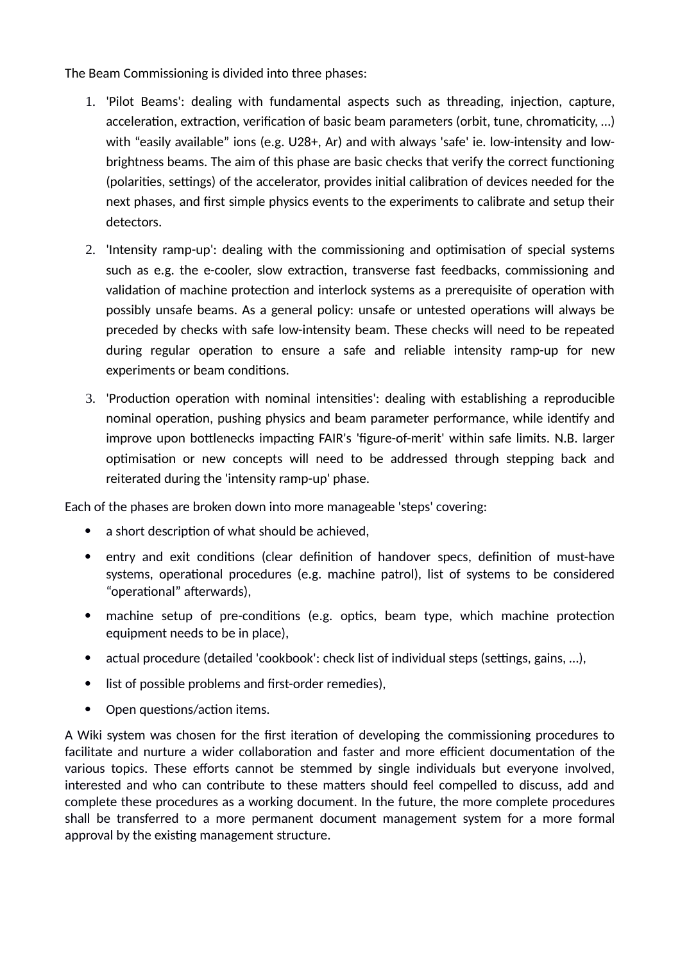The Beam Commissioning is divided into three phases:

- 1. 'Pilot Beams': dealing with fundamental aspects such as threading, injection, capture, acceleration, extraction, verification of basic beam parameters (orbit, tune, chromaticity, …) with "easily available" ions (e.g. U28+, Ar) and with always 'safe' ie. low-intensity and lowbrightness beams. The aim of this phase are basic checks that verify the correct functioning (polarities, settings) of the accelerator, provides initial calibration of devices needed for the next phases, and first simple physics events to the experiments to calibrate and setup their detectors.
- 2. 'Intensity ramp-up': dealing with the commissioning and optimisation of special systems such as e.g. the e-cooler, slow extraction, transverse fast feedbacks, commissioning and validation of machine protection and interlock systems as a prerequisite of operation with possibly unsafe beams. As a general policy: unsafe or untested operations will always be preceded by checks with safe low-intensity beam. These checks will need to be repeated during regular operation to ensure a safe and reliable intensity ramp-up for new experiments or beam conditions.
- 3. 'Production operation with nominal intensities': dealing with establishing a reproducible nominal operation, pushing physics and beam parameter performance, while identify and improve upon bottlenecks impacting FAIR's 'figure-of-merit' within safe limits. N.B. larger optimisation or new concepts will need to be addressed through stepping back and reiterated during the 'intensity ramp-up' phase.

Each of the phases are broken down into more manageable 'steps' covering:

- a short description of what should be achieved,
- entry and exit conditions (clear definition of handover specs, definition of must-have systems, operational procedures (e.g. machine patrol), list of systems to be considered "operational" afterwards),
- machine setup of pre-conditions (e.g. optics, beam type, which machine protection equipment needs to be in place),
- actual procedure (detailed 'cookbook': check list of individual steps (settings, gains, …),
- list of possible problems and first-order remedies),
- Open questions/action items.

A Wiki system was chosen for the first iteration of developing the commissioning procedures to facilitate and nurture a wider collaboration and faster and more efficient documentation of the various topics. These efforts cannot be stemmed by single individuals but everyone involved, interested and who can contribute to these matters should feel compelled to discuss, add and complete these procedures as a working document. In the future, the more complete procedures shall be transferred to a more permanent document management system for a more formal approval by the existing management structure.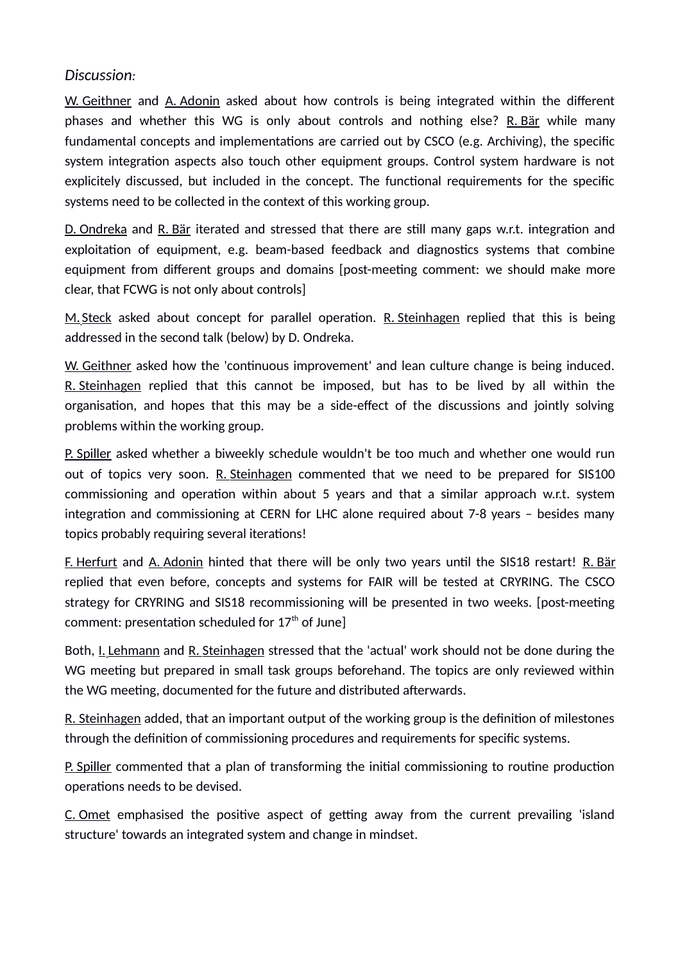#### *Discussion:*

 W. Geithner and A. Adonin asked about how controls is being integrated within the different phases and whether this WG is only about controls and nothing else? R. Bär while many fundamental concepts and implementations are carried out by CSCO (e.g. Archiving), the specific system integration aspects also touch other equipment groups. Control system hardware is not explicitely discussed, but included in the concept. The functional requirements for the specific systems need to be collected in the context of this working group.

 D. Ondreka and R. Bär iterated and stressed that there are still many gaps w.r.t. integration and exploitation of equipment, e.g. beam-based feedback and diagnostics systems that combine equipment from different groups and domains [post-meeting comment: we should make more clear, that FCWG is not only about controls]

M. Steck asked about concept for parallel operation. R. Steinhagen replied that this is being addressed in the second talk [\(below\)](#page-4-0) by D. Ondreka.

 W. Geithner asked how the 'continuous improvement' and lean culture change is being induced. R. Steinhagen replied that this cannot be imposed, but has to be lived by all within the organisation, and hopes that this may be a side-effect of the discussions and jointly solving problems within the working group.

 P. Spiller asked whether a biweekly schedule wouldn't be too much and whether one would run out of topics very soon. R. Steinhagen commented that we need to be prepared for SIS100 commissioning and operation within about 5 years and that a similar approach w.r.t. system integration and commissioning at CERN for LHC alone required about 7-8 years – besides many topics probably requiring several iterations!

F. Herfurt and A. Adonin hinted that there will be only two years until the SIS18 restart! R. Bär replied that even before, concepts and systems for FAIR will be tested at CRYRING. The CSCO strategy for CRYRING and SIS18 recommissioning will be presented in two weeks. [post-meeting comment: presentation scheduled for  $17<sup>th</sup>$  of June]

Both, I. Lehmann and R. Steinhagen stressed that the 'actual' work should not be done during the WG meeting but prepared in small task groups beforehand. The topics are only reviewed within the WG meeting, documented for the future and distributed afterwards.

 R. Steinhagen added, that an important output of the working group is the definition of milestones through the definition of commissioning procedures and requirements for specific systems.

P. Spiller commented that a plan of transforming the initial commissioning to routine production operations needs to be devised.

 C. Omet emphasised the positive aspect of getting away from the current prevailing 'island structure' towards an integrated system and change in mindset.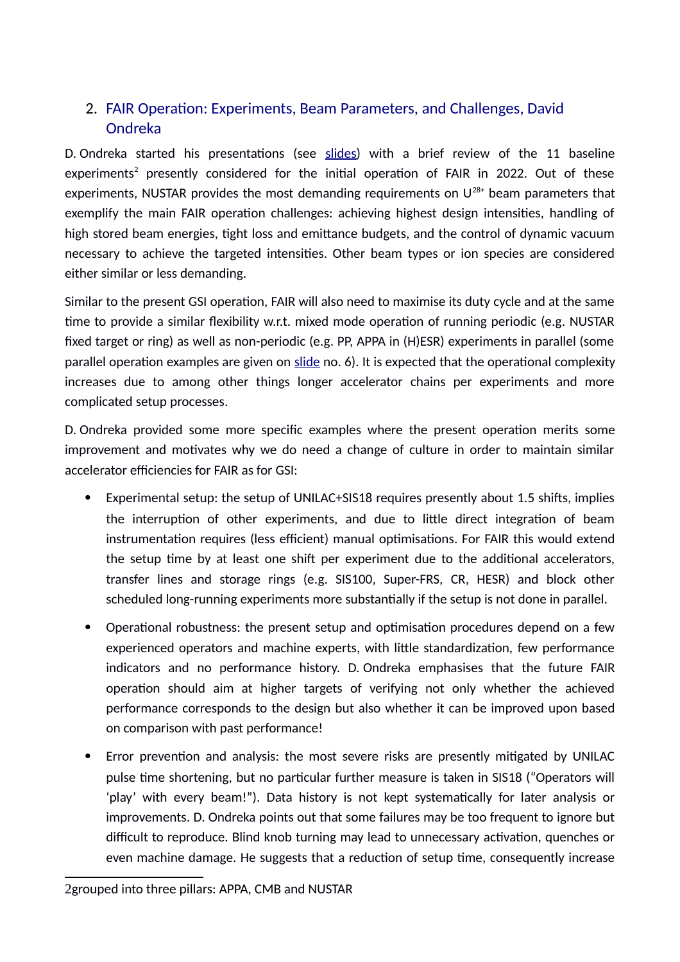# <span id="page-4-0"></span>2. FAIR Operation: Experiments, Beam Parameters, and Challenges, David Ondreka

D. Ondreka started his presentations (see [slides\)](https://fair-wiki.gsi.de/foswiki/pub/FC2WG/FairC2WGMinutes/20150520_FCCWG_FAIR_Baseline_Beams.pdf) with a brief review of the 11 baseline experiments<sup>[2](#page-4-1)</sup> presently considered for the initial operation of FAIR in 2022. Out of these experiments, NUSTAR provides the most demanding requirements on  $U^{28+}$  beam parameters that exemplify the main FAIR operation challenges: achieving highest design intensities, handling of high stored beam energies, tight loss and emittance budgets, and the control of dynamic vacuum necessary to achieve the targeted intensities. Other beam types or ion species are considered either similar or less demanding.

Similar to the present GSI operation, FAIR will also need to maximise its duty cycle and at the same time to provide a similar flexibility w.r.t. mixed mode operation of running periodic (e.g. NUSTAR fixed target or ring) as well as non-periodic (e.g. PP, APPA in (H)ESR) experiments in parallel (some parallel operation examples are given on [slide](https://fair-wiki.gsi.de/foswiki/pub/FC2WG/FairC2WGMinutes/20150520_FCCWG_FAIR_Baseline_Beams.pdf) no. 6). It is expected that the operational complexity increases due to among other things longer accelerator chains per experiments and more complicated setup processes.

D. Ondreka provided some more specific examples where the present operation merits some improvement and motivates why we do need a change of culture in order to maintain similar accelerator efficiencies for FAIR as for GSI:

- Experimental setup: the setup of UNILAC+SIS18 requires presently about 1.5 shifts, implies the interruption of other experiments, and due to little direct integration of beam instrumentation requires (less efficient) manual optimisations. For FAIR this would extend the setup time by at least one shift per experiment due to the additional accelerators, transfer lines and storage rings (e.g. SIS100, Super-FRS, CR, HESR) and block other scheduled long-running experiments more substantially if the setup is not done in parallel.
- Operational robustness: the present setup and optimisation procedures depend on a few experienced operators and machine experts, with little standardization, few performance indicators and no performance history. D. Ondreka emphasises that the future FAIR operation should aim at higher targets of verifying not only whether the achieved performance corresponds to the design but also whether it can be improved upon based on comparison with past performance!
- Error prevention and analysis: the most severe risks are presently mitigated by UNILAC pulse time shortening, but no particular further measure is taken in SIS18 ("Operators will 'play' with every beam!"). Data history is not kept systematically for later analysis or improvements. D. Ondreka points out that some failures may be too frequent to ignore but difficult to reproduce. Blind knob turning may lead to unnecessary activation, quenches or even machine damage. He suggests that a reduction of setup time, consequently increase

<span id="page-4-1"></span><sup>2</sup>grouped into three pillars: APPA, CMB and NUSTAR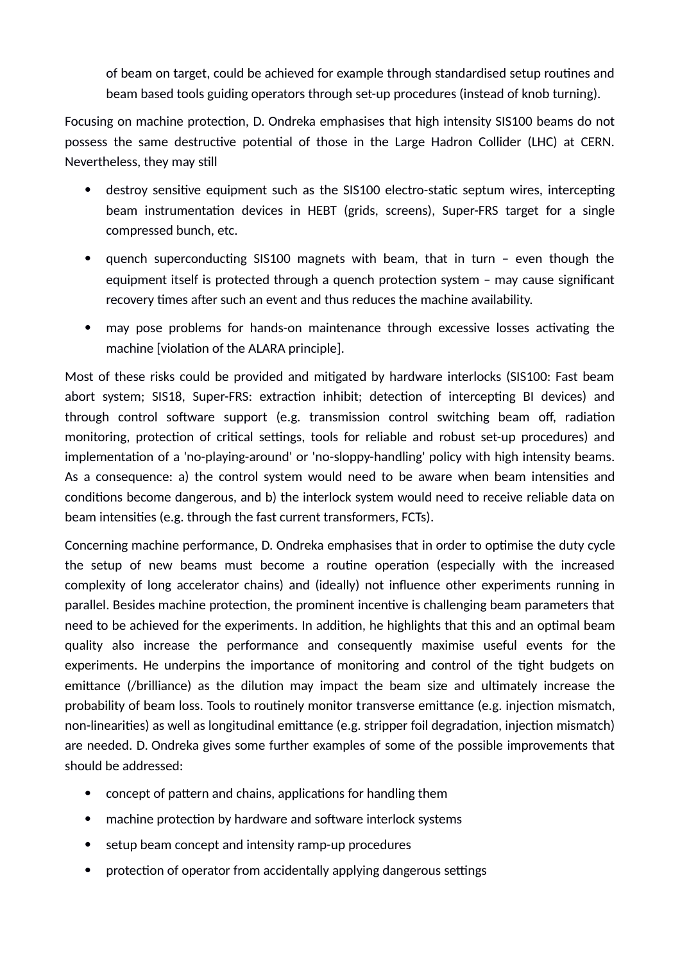of beam on target, could be achieved for example through standardised setup routines and beam based tools guiding operators through set-up procedures (instead of knob turning).

Focusing on machine protection, D. Ondreka emphasises that high intensity SIS100 beams do not possess the same destructive potential of those in the Large Hadron Collider (LHC) at CERN. Nevertheless, they may still

- destroy sensitive equipment such as the SIS100 electro-static septum wires, intercepting beam instrumentation devices in HEBT (grids, screens), Super-FRS target for a single compressed bunch, etc.
- quench superconducting SIS100 magnets with beam, that in turn even though the equipment itself is protected through a quench protection system – may cause significant recovery times after such an event and thus reduces the machine availability.
- may pose problems for hands-on maintenance through excessive losses activating the machine [violation of the ALARA principle].

Most of these risks could be provided and mitigated by hardware interlocks (SIS100: Fast beam abort system; SIS18, Super-FRS: extraction inhibit; detection of intercepting BI devices) and through control software support (e.g. transmission control switching beam off, radiation monitoring, protection of critical settings, tools for reliable and robust set-up procedures) and implementation of a 'no-playing-around' or 'no-sloppy-handling' policy with high intensity beams. As a consequence: a) the control system would need to be aware when beam intensities and conditions become dangerous, and b) the interlock system would need to receive reliable data on beam intensities (e.g. through the fast current transformers, FCTs).

Concerning machine performance, D. Ondreka emphasises that in order to optimise the duty cycle the setup of new beams must become a routine operation (especially with the increased complexity of long accelerator chains) and (ideally) not influence other experiments running in parallel. Besides machine protection, the prominent incentive is challenging beam parameters that need to be achieved for the experiments. In addition, he highlights that this and an optimal beam quality also increase the performance and consequently maximise useful events for the experiments. He underpins the importance of monitoring and control of the tight budgets on emittance (/brilliance) as the dilution may impact the beam size and ultimately increase the probability of beam loss. Tools to routinely monitor transverse emittance (e.g. injection mismatch, non-linearities) as well as longitudinal emittance (e.g. stripper foil degradation, injection mismatch) are needed. D. Ondreka gives some further examples of some of the possible improvements that should be addressed:

- concept of pattern and chains, applications for handling them
- machine protection by hardware and software interlock systems
- setup beam concept and intensity ramp-up procedures
- protection of operator from accidentally applying dangerous settings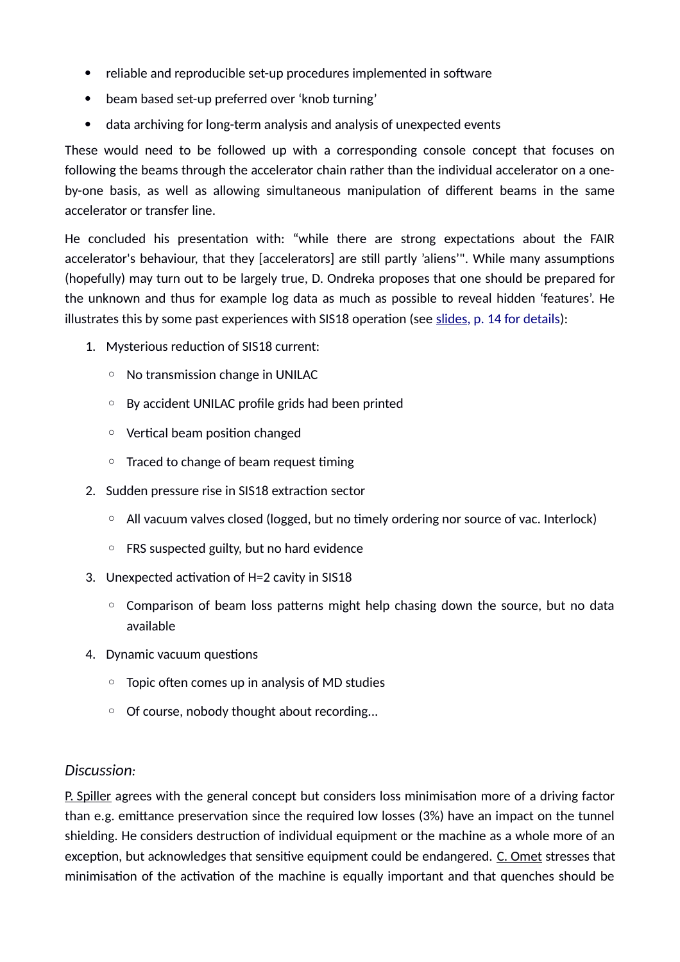- reliable and reproducible set-up procedures implemented in software
- beam based set-up preferred over 'knob turning'
- data archiving for long-term analysis and analysis of unexpected events

These would need to be followed up with a corresponding console concept that focuses on following the beams through the accelerator chain rather than the individual accelerator on a oneby-one basis, as well as allowing simultaneous manipulation of different beams in the same accelerator or transfer line.

He concluded his presentation with: "while there are strong expectations about the FAIR accelerator's behaviour, that they [accelerators] are still partly 'aliens'". While many assumptions (hopefully) may turn out to be largely true, D. Ondreka proposes that one should be prepared for the unknown and thus for example log data as much as possible to reveal hidden 'features'. He illustrates this by some past experiences with SIS18 operation (see [slides,](https://fair-wiki.gsi.de/foswiki/pub/FC2WG/FairC2WGMinutes/20150520_FCCWG_FAIR_Baseline_Beams.pdf) p. 14 for details):

- 1. Mysterious reduction of SIS18 current:
	- No transmission change in UNILAC
	- By accident UNILAC profile grids had been printed
	- Vertical beam position changed
	- Traced to change of beam request timing
- 2. Sudden pressure rise in SIS18 extraction sector
	- All vacuum valves closed (logged, but no timely ordering nor source of vac. Interlock)
	- FRS suspected guilty, but no hard evidence
- 3. Unexpected activation of H=2 cavity in SIS18
	- Comparison of beam loss patterns might help chasing down the source, but no data available
- 4. Dynamic vacuum questions
	- Topic often comes up in analysis of MD studies
	- Of course, nobody thought about recording...

#### *Discussion:*

 P. Spiller agrees with the general concept but considers loss minimisation more of a driving factor than e.g. emittance preservation since the required low losses (3%) have an impact on the tunnel shielding. He considers destruction of individual equipment or the machine as a whole more of an exception, but acknowledges that sensitive equipment could be endangered. C. Omet stresses that minimisation of the activation of the machine is equally important and that quenches should be